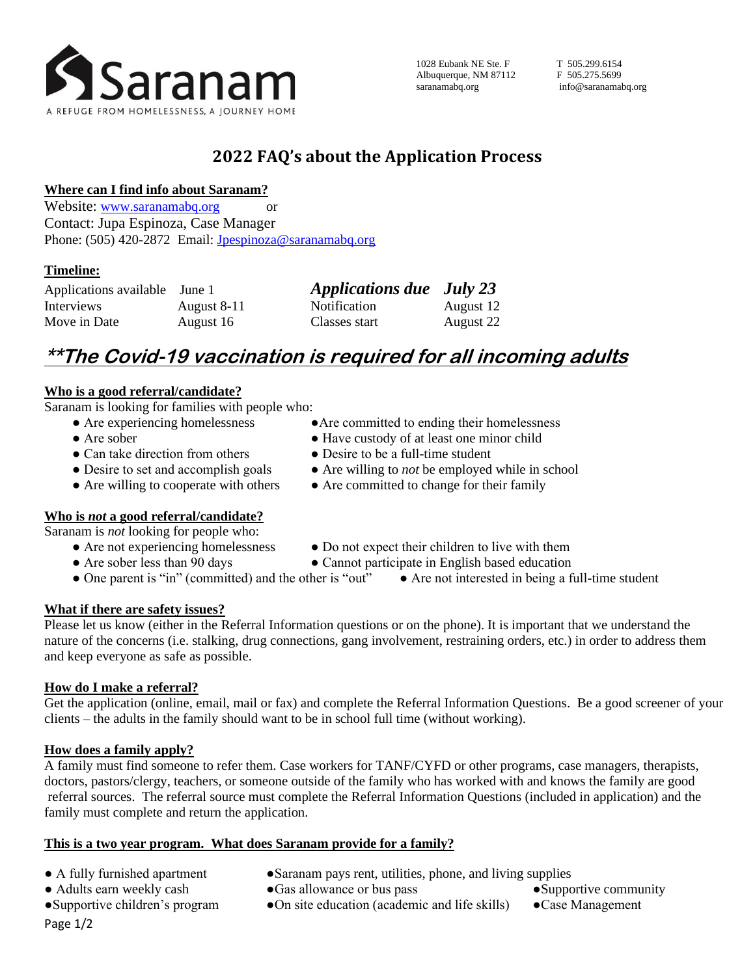

## **2022 FAQ's about the Application Process**

## **Where can I find info about Saranam?**

Website: [www.saranamabq.org](http://www.saranamabq.org/) or Contact: Jupa Espinoza, Case Manager Phone: (505) 420-2872 Email: [Jpespinoza@saranamabq.org](mailto:Jmullen@saranamabq.org)

## **Timeline:**

| Applications available June 1 |             | <b>Applications due</b> July 23 |           |
|-------------------------------|-------------|---------------------------------|-----------|
| Interviews                    | August 8-11 | <b>Notification</b>             | August 12 |
| Move in Date                  | August 16   | Classes start                   | August 22 |

# **\*\*The Covid-19 vaccination is required for all incoming adults**

## **Who is a good referral/candidate?**

Saranam is looking for families with people who:

- Are experiencing homelessness Are committed to ending their homelessness
- Are sober  **Have custody of at least one minor child**
- Can take direction from others Desire to be a full-time student
- Desire to set and accomplish goals Are willing to *not* be employed while in school
- Are willing to cooperate with others Are committed to change for their family
- **Who is** *not* **a good referral/candidate?**

Saranam is *not* looking for people who:

- -
- Are not experiencing homelessness Do not expect their children to live with them
- Are sober less than 90 days Cannot participate in English based education
- One parent is "in" (committed) and the other is "out" Are not interested in being a full-time student

## **What if there are safety issues?**

Please let us know (either in the Referral Information questions or on the phone). It is important that we understand the nature of the concerns (i.e. stalking, drug connections, gang involvement, restraining orders, etc.) in order to address them and keep everyone as safe as possible.

## **How do I make a referral?**

Get the application (online, email, mail or fax) and complete the Referral Information Questions. Be a good screener of your clients – the adults in the family should want to be in school full time (without working).

## **How does a family apply?**

A family must find someone to refer them. Case workers for TANF/CYFD or other programs, case managers, therapists, doctors, pastors/clergy, teachers, or someone outside of the family who has worked with and knows the family are good referral sources. The referral source must complete the Referral Information Questions (included in application) and the family must complete and return the application.

#### **This is a two year program. What does Saranam provide for a family?**

- 
- A fully furnished apartment Saranam pays rent, utilities, phone, and living supplies
- 
- 
- Adults earn weekly cash Gas allowance or bus pass Supportive community
- ●Supportive children's program ●On site education (academic and life skills) ●Case Management